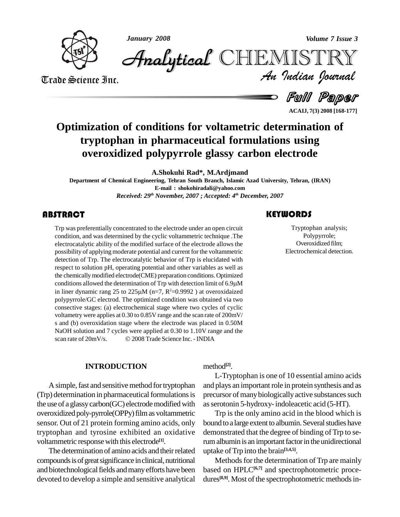

*January 2008 Volume 7 Issue 3*

*Volume 7 Issue 3*<br>IISTRY<br>Indian Iournal CHEMISTRY

Trade Science Inc. Trade Science Inc.

Full Paper

**ACAIJ, 7(3) 2008 [168-177]**

# **Optimization of conditions for voltametric determination of tryptophan in pharmaceutical formulations using overoxidized polypyrrole glassy carbon electrode**

**A.Shokuhi Rad\*, M.Ardjmand**

**Department of Chemical Engineering, Tehran South Branch, Islamic Azad University, Tehran, (IRAN) E-mail : [shokohiradali@yahoo.com](mailto:shokohiradali@yahoo.com)** *Received: 29 th November, 2007 ; Accepted: 4 th December, 2007*

## **ABSTRACT**

Transferentially condition, and was determined<br>electrocatalytic ability of Trp was preferentially concentrated to the electrode under an open circuit condition, and was determined by the cyclic voltammetric technique .The electrocatalytic ability of the modified surface of the electrode allows the possibility of applying moderate potential and current for the voltammetric detection of Trp. The electrocatalytic behavior of Trp is elucidated with respect to solution pH, operating potential and other variables as well as the chemically modified electrode(CME) preparation conditions. Optimized respect to solution pH, operating potential and other variables as well as<br>the chemically modified electrode(CME) preparation conditions. Optimized<br>conditions allowed the determination of Trp with detection limit of 6.9µM the chemically modified electrode(CME) preparation condi<br>conditions allowed the determination of Trp with detection<br>in liner dynamic rang 25 to 225 $\mu$ M (n=7, R<sup>2</sup>=0.9992) a in liner dynamic rang 25 to 225 $\mu$ M (n=7, R<sup>2</sup>=0.9992) at overoxidaized polypyrrole/GC electrod. The optimized condition was obtained via two consective stages: (a) electrochemical stage where two cycles of cyclic voltametry were applies at 0.30 to 0.85V range and the scan rate of 200mV/ s and (b) overoxidation stage where the electrode was placed in 0.50M NaOH solution and 7 cycles were applied at 0.30 to 1.10V range and the s and (b) overoxidation stage where the electrode was placed in 0.50M<br>NaOH solution and 7 cycles were applied at 0.30 to 1.10V range and the<br>scan rate of 20mV/s. © 2008 Trade Science Inc. - INDIA

#### **INTRODUCTION**

A simple, fast and sensitive method for tryptophan (Trp) determination in pharmaceutical formulations is the use of a glassy carbon(GC) electrode modified with overoxidized poly-pyrrole(OPPy)filmas voltammetric sensor. Out of 21 protein forming amino acids, only tryptophan and tyrosine exhibited an oxidative voltammetric responsewith this electrode **[1]**.

The determination of amino acids and their related compounds is of great significance in clinical, nutritional and biotechnological fields and many efforts have been devoted to develop a simple and sensitive analytical

method **[2]**.

L-Tryptophan isone of 10 essential amino acids and plays an important role in protein synthesis and as precursor of many biologically active substances such asserotonin 5-hydroxy-indoleacetic acid (5-HT).

Trp is the only amino acid in the blood which is bound to a large extent to albumin. Several studies have demonstrated that the degree of binding of Trp to serum albumin is an important factor in the unidirectional uptake ofTrp into the brain **[3,4,5]**.

Methods for the determination of Trp are mainly based on HPLC<sup>[6,7]</sup> and spectrophotometric procedures<sup>[8,9]</sup>. Most of the spectrophotometric methods in-

# **KEYWORDS**

Tryptophan analy<br>Polypyrrole;<br>Overoxidized film Tryptophan analysis; Polypyrrole; Overoxidized film; Electrochemical detection.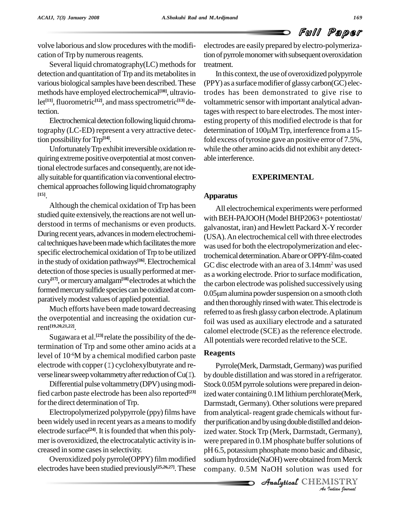volve laborious and slow procedures with the modifi cation of Trp by numerous reagents.

Several liquid chromatography(LC) methods for detection and quantitation of Trp and its metabolites in various biological samples have been described. These methods have employed electrochemical **[10]**, ultraviolet **[11]**, fluorometric **[12]**, and massspectrometric **[13]** detection.

Electrochemical detection following liquid chromatography (LC-ED) represent a very attractive detection possibility for Trp<sup>[14]</sup>.

Unfortunately Trp exhibit irreversible oxidation requiring extreme positive overpotential at most conventional electrode surfaces and consequently, are not ide allysuitable forquantification via conventional electro chemical approaches following liquid chromatography **[15]**.

Although the chemical oxidation of Trp has been studied quite extensively, the reactions are notwell un derstood in terms of mechanisms or even products. During recent years, advances in modern electrochemical techniques have been made which facilitates the more specific electrochemical oxidation of Trp to be utilized in the study of oxidation pathways<sup>[16]</sup>. Electrochemical G detection of those species is usually performed at mercury<sup>[17]</sup>, or mercury amalgam<sup>[18]</sup>electrodes at which the  $\frac{1}{10}$ formed mercury sulfide species can be oxidized at com- $0.05 \mu m$  alumina powder suspension on a smooth cloth parativelymodest values of applied potential.

Much efforts have been made toward decreasing the overpotential and increasing the oxidation current **[19,20,21,22]**.

Sugawara et al.<sup>[23]</sup> relate the possibility of the determination of Trp and some other amino acids at a level of  $10^{-6}M$  by a chemical modified carbon paste **Keag** electrode with copper (I) cyclohexylbutyrate and reverse linear sweep voltammetry after reduction of  $Cu(1)$ .

Differential pulse voltammetry (DPV) using modified carbon paste electrode has been also reported **[23]** for the direct determination of Trp.

Electropolymerized polypyrrole (ppy) films have been widely used in recent years as a means to modify electrode surface<sup>[24]</sup>. It is founded that when this poly- ized mer is overoxidized, the electrocatalytic activity is increased in some casesin selectivity.

Overoxidized polypyrrole(OPPY) film modified electrodes have been studied previously<sup>[25,26,27]</sup>. These comp

electrodes are easily prepared by electro-polymerization of pyrrole monomer with subsequent overoxidation treatment.

In this context, the use of overoxidized polypyrrole  $(PPY)$  as a surface modifier of glassy carbon $(GC)$  electrodes has been demonstrated to give rise to voltammetric sensor with important analytical advantages with respect to bare electrodes. The most inter esting property of this modified electrode is that for tages with respect to bare electrodes. The most inter-<br>esting property of this modified electrode is that for<br>determination of  $100\mu$ M Trp, interference from a 15fold excess of tyrosine gave an positive error of 7.5%, while the other amino acids did not exhibit anydetect able interference.

#### **EXPERIMENTAL**

#### **Apparatus**

All electrochemical experiments were performed with BEH-PAJOOH (Model BHP2063+ potentiostat/ galvanostat, iran) and Hewlett Packard X-Y recorder (USA).An electrochemical cell with three electrodes was used for both the electropolymerization and electrochemical determination. A bare or OPPY-film-coated GC disc electrode with an area of 3.14mm<sup>2</sup> was used as a working electrode. Prior to surface modification,<br>the carbon electrode was polished successively using<br>0.05µm alumina powder suspension on a smooth cloth the carbon electrode was polished successively using and then thoroughly rinsed with water. This electrode is referred to as fresh glassy carbon electrode. A platinum foil was used as auxiliary electrode and a saturated calomel electrode (SCE) as the reference electrode. All potentials were recorded relative to the SCE.

#### **Reagents**

*An*ized water. Stock Trp (Merk, Darmstadt, Germany), *Ized water.* Stock Trp (Werk, Darinstadt, Germany),<br>
were prepared in 0.1M phosphate buffer solutions of<br>
pH 6.5, potassium phosphate mono basic and dibasic,<br>
sodium hydroxide(NaOH) were obtained from Merck<br>
company. 0.5M Pyrrole(Merk, Darmstadt, Germany) was purified by double distillation and was stored in a refrigerator. Stock 0.05M pyrrole solutions were prepared in deionized water containing 0.1M lithium perchlorate(Merk, Darmstadt, Germany). Other solutions were prepared from analytical-reagent grade chemicals without further purification and by using double distilled and deionpH 6.5, potassium phosphate mono basic and dibasic, sodiumhydroxide(NaOH) were obtained from Merck company. 0.5M NaOH solution was used for

**Analytical** CHEMISTRY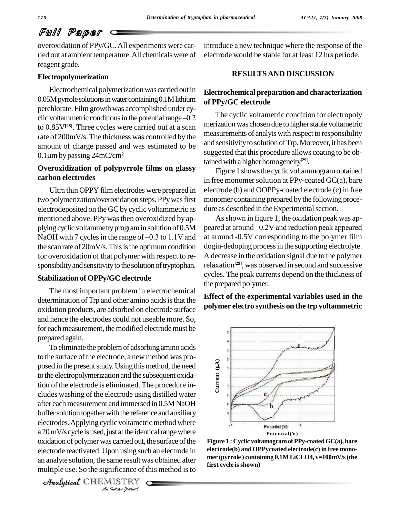# Full Paper

overoxidation of PPy/GC.All experiments were carried out at ambient temperature.All chemicals were of reagent grade.

#### **Electropolymerization**

Electrochemical polymerizationwas carried out in 0.05M pyrrole solutions in water containing 0.1M lithium perchlorate. Film growth was accomplished under cy-0.05M pyrrole solutions in water containing 0.1M lithium<br>perchlorate. Film growth was accomplished under cy-<br>clic voltammetric conditions in the potential range  $-0.2$ to 0.85V**[28]**. Three cycles were carried out at a scan rate of 200mV/s. The thickness was controlled by the<br>amount of charge passed and was estimated to be and sequence<br>0.1µm by passing 24mC/cm<sup>2</sup> amount of charge passed and was estimated to be

# **Overoxidization of polypyrrole films on glassy carbon electrodes**

Ultra thin OPPY film electrodes were prepared in two polymerization/overoxidation steps. PPy was first electrodeposited on the GC by cyclic voltammetric as mentioned above. PPy was then overoxidized by applying cyclic voltammetry program in solution of 0.5M peared at arour mentioned above. PPy was then overoxidized by applying cyclic voltammetry program in solution of 0.5M peared<br>NaOH with 7 cycles in the range of –0.3 to 1.1V and at arou the scan rate of  $20mV/s$ . This is the optimum condition for overoxidation of that polymer with respect to re-sponsibility and sensitivity to the solution of tryptophan.

#### **Stabilization of OPPy/GC electrode**

The most important problem in electrochemical determination of Trp and other amino acids is that the oxidation products, are adsorbed on electrode surface and hence the electrodes could not useable more. So, for each measurement, the modified electrode must be prepared again.

a 20 mV/s cycle is used, just at the identical range where *Installed out, i*<br>*Is carried out, i*<br>*Joon using such americance of t*<br>*IISTRY*  $\alpha$  20 m  $\gamma$  b eyere is asset, just at the radiation range where  $\alpha$  is a carried out, the surface of the Figur To eliminate the problem of adsorbing amino acids to the surface of the electrode, a new method was proposed in the present study. Using this method, the need to the electropolymerization and the subsequent oxidation of the electrode is eliminated. The procedure in cludes washing of the electrode using distilled water after each measurement and immersed in 0.5M NaOH buffer solution together with the reference and auxiliary electrodes. Applying cyclic voltametric method where electrode reactivated.Upon using such an electrode in an analyte solution, the same result was obtained after multiple use. So the significance of this method is to

CHEMISTRY

introduce a new technique where the response of the electrode would be stable for at least 12 hrs periode.

## **RESULTSAND DISCUSSION**

## **Electrochemical preparation and characterization of PPy/GC electrode**

The cyclic voltametric condition for electropoly merization was chosen due to higher stable voltametric measurements of analytswith respect to responsibility and sensitivity to solution of Trp. Moreover, it has been suggested that this procedure allows coating to be obtained with a higher homogeneity<sup>[29]</sup>.

Figure 1 shows the cyclic voltammogram obtained in free monomer solution at PPy-coated  $GC(a)$ , bare electrode (b) and OOPPy-coated electrode (c) in free monomer containing prepared by the following procedure as described in the Experimental section.

Asshown in figure 1, the oxidation peak was ap peared at around  $-0.2V$  and reduction peak appeared at around -0.5V corresponding to the polymer film dogin-dedoping process in the supporting electrolyte. A decrease in the oxidation signal due to the polymer relaxation **[29]**, was observed in second and successive cycles. The peak currents depend on the thickness of the prepared polymer.

**Effect of the experimental variables used in the polymer electro synthesis on the trp voltammetric**



**Figure 1 : Cyclic voltamogramofPPy-coatedGC(a), bare electrode(b) and OPPycoated electrode(c) in free mono mer (pyrrole ) containing 0.1M LiCLO4, v=100mV/s(the first cycle isshown)**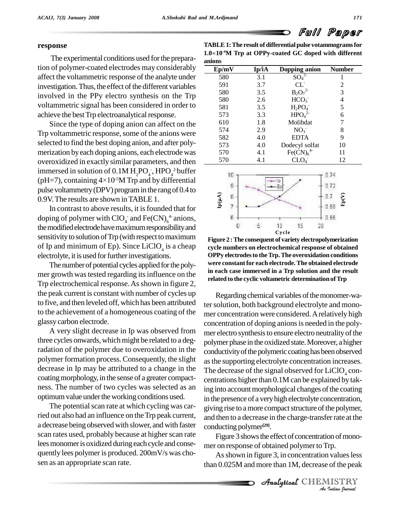

#### **response**

The experimental conditions used for the preparation of polymer-coated electrodes may considerably affect the voltammetric response of the analyte under investigation. Thus, the effect of the different variables involved in the PPy electro synthesis on the Trp voltammetric signal has been considered in order to achieve the best Trp electroanalytical response.

Since the type of doping anion can affect on the Trp voltammetric response, some of the anions were selected to find the best doping anion, and after poly merization byeach doping anions, each electrode was overoxidized in exactly similar parameters, and then immersed in solution of  $0.1M H_2PO_4$ , HPO<sub>4</sub><sup>2-</sup>buffer overoxidized in exactly similar parameters, and then<br>immersed in solution of  $0.1M H_2PO_4$ <sup>-</sup>, HPO<sub>4</sub><sup>2</sup>buffer<br>(pH=7), containing  $4\times10^{-5}M$  Trp and by differential pulse voltammetry(DPV) programin the rangof 0.4 to 0.9V.The results are shown inTABLE 1.

In contrast to above results, it is founded that for doping of polymer with  $\text{ClO}_4^-$  and  $\text{Fe(CN)}_6^+$  anions, the modified electrode have maximum responsibility and sensitivity to solution of Trp (with respect to maximum of Ip and minimum of Ep). Since  $LiClO<sub>4</sub>$  is a cheap cycle i electrolyte, it is used for further investigations.

The number of potential cycles applied for the polymer growth was tested regarding its influence on the Trp electrochemical response. As shown in figure 2, the peak current is constant with number of cycles up to five, and then leveled off, which has been attributed to the achievement of a homogeneous coating of the glassy carbon electrode.

A very slight decrease in Ip was observed from three cycles onwards, which might be related to a degradation of the polymer due to overoxidation in the polymer formation process. Consequently, the slight decrease in Ip may be attributed to a change in the coating morphology, in the sense of a greater compact-centrations higher than 0.1M can be explained by takness. The number of two cycles was selected as an optimum value under the working conditions used.

The potential scan rate at which cycling was carried out also had an influence on the Trp peak current, a decrease being observed with slower, and with faster scan rates used, probably because at higher scan rate lees monomer is oxidized during each cycle and consequently lees polymer is produced. 200mV/s was cho sen as an appropriate scan rate.

**TABLE1:The result of differentialpulse votammogramsfor** TABLE 1: The r<br>1.0×10<sup>-4</sup>M Trp **-4M Trp at OPPy-coated GC doped with different Ep/mV Ip/Ï<sup>A</sup> Dopping anion Number anions**

| Ep/mV | Ip/iA | Dopping anion                    | <b>Number</b> |
|-------|-------|----------------------------------|---------------|
| 580   | 3.1   | $SO_4$                           | 1             |
| 591   | 3.7   | $CL^{-}$                         | 2             |
| 580   | 3.5   | $B_2O_7$                         | 3             |
| 580   | 2.6   | HCO <sub>3</sub>                 | 4             |
| 581   | 3.5   | $H_2PO_4^-$                      | 5             |
| 573   | 3.3   | HPO <sub>4</sub> <sup>2</sup>    | 6             |
| 610   | 1.8   | Molibdat                         |               |
| 574   | 2.9   | NO <sub>3</sub>                  | 8             |
| 582   | 4.0   | <b>EDTA</b>                      | 9             |
| 573   | 4.0   | Dodecyl solfat                   | 10            |
| 570   | 4.1   | Fe(CN) <sub>6</sub> <sup>4</sup> | 11            |
| 570   | 4.1   | $\mathrm{CLO}_4^-$               | 12            |



**Figure 2 :The consequent of variety electropolymerization cycle numbers on electrochemical response of obtained OPPy electrodesto theTrp.The overoxidation conditions were constantfor each electrode. The obtained electrode in each case immersed in a Trp solution and the result related** to the cyclic voltametric determination of Trp

Regarding chemical variables of the monomer-water solution, both background electrolyte and monomer concentration were considered. A relatively high concentration of doping anions is needed in the polymer electro synthesis to ensure electro neutrality of the polymer phase in the oxidized state.Moreover, a higher conductivity of the polymeric coating has been observed asthe supporting electrolyte concentration increases. The decrease of the signal observed for  $LiClO<sub>4</sub>$  coning into account morphological changes of the coating in the presence of a veryhigh electrolyte concentration, giving rise to a more compact structure of the polymer, and then to a decrease in the charge-transferrate at the conducting polymer **[29]**.

Figure 3 shows the effect of concentration of monomer on response of obtained polymer to Trp.

*Indian*<br>*I* values less<br>*I* ISTRY<br>*IISTRY* As shown in figure 3, in concentration values less than 0.025M and more than 1M, decrease of the peak

CHEMISTRY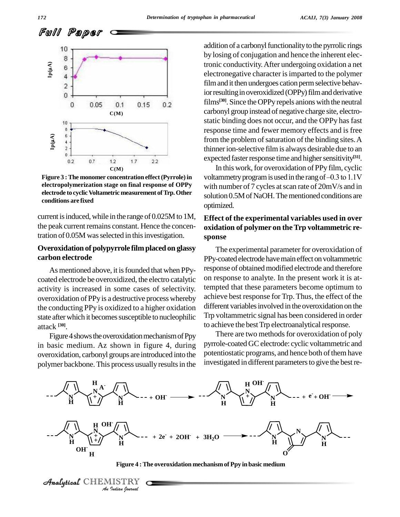Full Paper



**Figure 3 :The monomer concentration effect(Pyrrole)in electropolymerization stage on final response of OPPy electrode to cyclicVoltametric measurement ofTrp.Other conditions are fixed**

current is induced, while in the range of  $0.025M$  to 1M, the peak current remains constant. Hence the concentration of 0.05M was selected in this investigation.

#### **Overoxidation of polypyrrole filmplaced on glassy carbon electrode**

As mentioned above, it is founded that when PPycoated electrode be overoxidized, the electro catalytic activity is increased in some cases of selectivity. overoxidation of PPy is a destructive process whereby the conducting PPy is oxidized to a higher oxidation state after which it becomes susceptible to nucleophilic attack **[30]**.

Figure 4 shows the overoxidation mechanism of Ppy in basic medium. Az shown in figure 4, during overoxidation, carbonyl groups are introduced into the polymer backbone.This process usually resultsin the addition of a carbonyl functionality to the pyrrolic rings by losing of conjugation and hence the inherent electronic conductivity.After undergoing oxidation a net electronegative character is imparted to the polymer film and it then undergoes cation perm selective behavior resulting in overoxidized (OPPy) film and derivative films **[30]**. Since theOPPyrepels anionswith the neutral carbonyl group instead of negative charge site, electro static binding does not occur, and the OPPy has fast response time and fewer memory effects and is free from the problem of saturation of the binding sites. A thinnerion-selective filmis always desirable due to an expected faster response time and higher sensitivity<sup>[31]</sup>.

In this work, for overoxidation of PPy film, cyclic voltammetry program is used in the rang of  $-0.3$  to  $1.1V$ with number of 7 cycles at scan rate of 20mV/s and in solution 0.5M of NaOH. The mentioned conditions are optimized.

#### **Effect of the experimental variables used in over oxidation of polymer on theTrp voltammetric re sponse**

The experimental parameter for overoxidation of PPy-coated electrode have main effect on voltammetric response of obtained modified electrode and therefore on response to analyte. In the present work it is attempted that these parameters become optimum to achieve best response for Trp. Thus, the effect of the different variables involved in the overoxidation on the Trp voltammetric signal has been considered in order to achieve the best Trp electroanalytical response.

There are two methods for overoxidation of poly pyrrole-coated GC electrode: cyclic voltammetric and potentiostatic programs, and hence both of them have investigated in different parameters to give the best re-



**Figure 4 :The overoxidation mechanismof Ppy in basic medium**

CHEMISTRY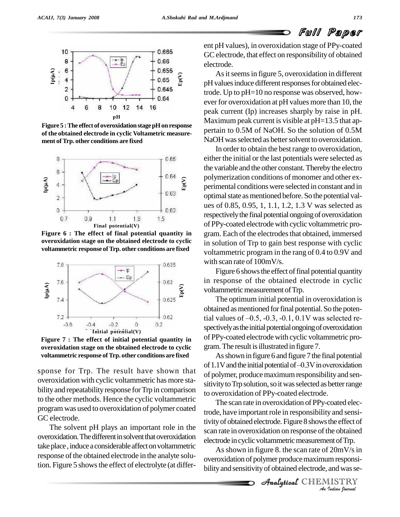

**Figure 5 :The effect of overoxidationstagepHon response of the obtained electrode in cyclic Voltametric measure ment ofTrp. other conditions are fixed**



**Figure 6 : The effect of final potential quantity in overoxidation stage on the obtained electrode to cyclic voltammetric response ofTrp. other conditions are fixed**



**Figure 7 : The effect of initial potential quantity in overoxidation stage on the obtained electrode to cyclic voltammetric response ofTrp. other conditions are fixed**

sponse for Trp. The result have shown that overoxidation with cyclic voltammetric has more sta bility and repeatability response for Trp in comparison to the other methods. Hence the cyclic voltammetric programwas used to overoxidation of polymer coated GC electrode.

The solvent pH plays an important role in the overoxidation. The different in solvent that overoxidation take place, induce a considerable affect on voltammetric response of the obtained electrode in the analyte solution. Figure 5 shows the effect of electrolyte (at different pH values), in overoxidation stage of PPy-coated GC electrode, that effect on responsibility of obtained electrode.

As it seems in figure 5, overoxidation in different pH values induce different responses for obtained electrode. Up to pH=10 no response was observed, how ever for overoxidation at pH values more than 10, the peak current (Ip) increases sharply by raise in pH. Maximum peak current is visible at  $pH=13.5$  that appertain to 0.5M of NaOH. So the solution of 0.5M NaOH was selected as better solvent to overoxidation.

In order to obtain the best range to overoxidation, either the initial or the last potentials were selected as the variable and the other constant. Thereby the electro polymerization conditions of monomer and other experimental conditionswere selected in constant and in optimal state as mentioned before. So the potential values of 0.85, 0.95, 1, 1.1, 1.2, 1.3 V was selected as respectively the final potential ongoing of overoxidation of PPy-coated electrodewith cyclic voltammetric pro gram. Each of the electrodes that obtained, immersed in solution of Trp to gain best response with cyclic voltammetric program in the rang of 0.4 to 0.9V and with scan rate of 100mV/s.

Figure 6 shows the effect of final potential quantity in response of the obtained electrode in cyclic voltammetric measurement of Trp.

The optimum initial potential in overoxidation is obtained as mentioned for final potential. So the poten-The optimum initial potential in overoxidation is<br>obtained as mentioned for final potential. So the poten-<br>tial values of  $-0.5$ ,  $-0.3$ ,  $-0.1$ ,  $0.1V$  was selected respectively as the initial potential ongoing of overoxidation of PPy-coated electrodewith cyclic voltammetric pro gram.The result isillustrated in figure 7.

As shown in figure 6 and figure 7 the final potential of  $1.1V$  and the initial potential of  $-0.3V$  in overoxidation of polymer, produce maximum responsibility and sensitivity to Trp solution, so it was selected as better range to overoxidation of PPy-coated electrode.

*And rate in overoxidation on response of the obtained* electrode in cyclic voltammetric measurement of Trp. The scan rate in overoxidation of PPy-coated electrode, have important role in responsibility and sensitivity of obtained electrode. Figure 8 shows the effect of

 *Indian Journal* As shown in figure 8. the scan rate of  $20mV/s$  in overoxidation of polymer produce maximum responsibility and sensitivity of obtained electrode, and was se-

**Analytical** CHEMISTRY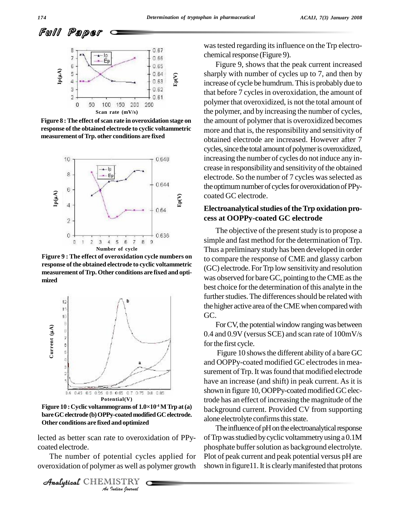

**Figure 8 :The effect ofscan rate in overoxidation stage on response ofthe obtained electrode to cyclic voltammetric measurement ofTrp. other conditions are fixed**



**Figure 9 : The effect of overoxidation cycle numbers on response ofthe obtained electrode to cyclic voltammetric measurement ofTrp. Other conditions are fixed and opti mized**



bare GC electrode (b) OPPy-coated modified GC electrode. **Other conditions are fixed and optimized**

lected as better scan rate to overoxidation of PPy- of T coated electrode.

*Indian*<br>*Indian I I I ISTRY*<br>*IISTRY Indian hournal* The number of potential cycles applied for Plot overoxidation of polymer as well as polymer growth

```
Analytical CHEMISTRY
```
was tested regarding its influence on the Trp electrochemical response (Figure 9).

Figure 9, shows that the peak current increased sharply with number of cycles up to 7, and then by increase of cycle be humdrum. This is probably due to that before 7 cycles in overoxidation, the amount of polymer that overoxidized, is not the total amount of the polymer, and by increasing the number of cycles, the amount of polymer that is overoxidized becomes more and that is, the responsibility and sensitivity of obtained electrode are increased. However after 7 cycles, since the total amount of polymer is overoxidized, increasing the number of cycles do not induce any increase in responsibility and sensitivity of the obtained electrode. So the number of 7 cycles was selected as the optimum number of cycles for overoxidation of PPycoated GC electrode.

#### **Electroanalytical studies of the Trp oxidation process at OOPPy-coated GC electrode**

The objective of the present study is to propose a simple and fast method for the determination of Trp. Thus a preliminary study has been developed in order to compare the response of CME and glassy carbon (GC) electrode. ForTrp low sensitivityand resolution was observed for bare GC, pointing to the CME as the best choice for the determination of this analyte in the further studies. The differences should be related with the higher active area of the CME when compared with GC.<br>For CV, the potential window ranging was between

0.4 and 0.9V (versus SCE) and scan rate of 100mV/s for the first cycle.

Figure 10 shows the different ability of a bare GC and OOPPy-coated modified GC electrodesin mea surement of Trp. It was found that modified electrode have an increase (and shift) in peak current. As it is shown in figure 10, OOPPy-coated modified GC electrode has an effect of increasing the magnitude of the background current. Provided CV from supporting alone electrolyte confirms this state.

The influence of pH on the electroanalytical response ofTrpwasstudied bycyclic voltammetryusing a 0.1M phosphate buffer solution as background electrolyte. Plot of peak current and peak potential versus pH are shown in figure11. It is clearly manifested that protons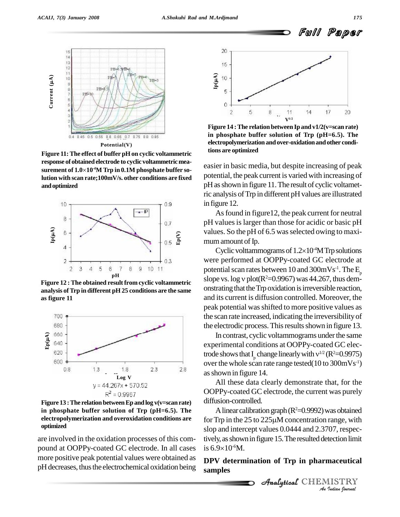

**Figure 11:The effect of buffer pHon cyclic voltammetric surement of 1.0<sup>10</sup>**  $r$  **response** of obtained electrode to cyclic voltammetric mea**surement** of  $1.0 \times 10^{-4}$ M Trp in 0.1M phosphate buffer so**lution with scan rate;100mV/s. other conditions are fixed andoptimized**



**analysis ofTrp in different pH 25 conditions are the same as figure 11**



**Figure 13 :The relation betweenEpandlog v(v=scan rate) in phosphate buffer solution of Trp (pH=6.5). The electropolymerization and overoxidation conditions are optimized**

are involved in the oxidation processes of this com pound at OOPPy-coated GC electrode. In all cases more positive peak potential values were obtained as pH decreases, thus the electrochemical oxidation being



**Figure 14 :The relation between Ip and v1/2(v=scan rate) in phosphate buffer solution of Trp (pH=6.5). The electropolymerization andover-oxidationandother conditions are optimized**

easier in basic media, but despite increasing of peak potential, the peak current is varied with increasing of pHasshown in figure 11.The result of cyclic voltametric analysis ofTrp in different pHvalues are illustrated in figure 12.

As found in figure12, the peak current for neutral pH valuesis larger than those for acidic or basic pH values. So the pH of 6.5 was selected owing to maxi-<br>mum amount of Ip.<br>Cyclic volttammograms of  $1.2\times10^4$ M Trp solutions mum amount of Ip.

Cyclic volttammograms of  $1.2\times10^{4}$ M Trp solutions were performed at OOPPy-coated GC electrode at potential scan rates between  $10$  and  $300 \text{mVs}^{-1}$ . The  $\text{E}_{\text{n}}$ p were performed at OOPPy-coated GC electrode at<br>potential scan rates between 10 and 300mVs<sup>-1</sup>. The  $E_p$ <br>slope vs. log v plot(R<sup>2</sup>=0.9967) was 44.267, thus demonstrating that the Trp oxidation is irreversible reaction, and its current is diffusion controlled. Moreover, the peak potential wasshifted to more positive values as the scan rate increased, indicating the irreversibilityof the electrodic process. This results shown in figure 13. **Figure** 12 **:** The obtained result from cyclic voltammetric slope vs. log v plot( $R^2$ =0.9967) was 44.267, thus dem-

> In contrast, cyclic voltammograms underthe same experimental conditions at OOPPy-coated GC elec-In contrast, cyclic voltammograms under the same<br>experimental conditions at OOPPy-coated GC elec-<br>trode shows that I<sub>p</sub> change linearly with  $v^{1/2}$  (R<sup>2</sup>=0.9975) over the whole scan rate range tested( $10$  to  $300 \text{mVs}^{-1}$ ) asshown in figure 14.

All these data clearly demonstrate that, for the OOPPy-coated GC electrode, the current was purely diffusion-controlled.

*Analytical <i>Analyticalis* Storm and *Analytical Composition*, respectively, as shown in figure 15. The resulted detection limit *Indian*<br>**Indian**<br>**IISTRY**<br>*Indian bournal* A linear calibration graph ( $R^2=0.9992$ ) was obtained for Trp in the  $25$  to  $225\mu$ M concentration range, with slop and intercept values 0.0444 and 2.3707, respecslop and intercept v<br>tively, as shown in fi<br>is 6.9×10<sup>-6</sup>M. is  $6.9 \times 10^{6}$ M.

**DPV determination of Trp in pharmaceutical samples**

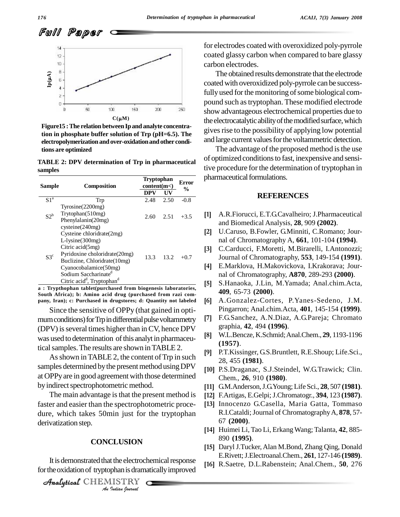

**Figure15 :The relation between Ipand analyte concentration in phosphate buffer solution of Trp (pH=6.5). The electropolymerization andover-oxidationandother conditions are optimized**

**TABLE 2: DPV determination of Trp in pharmaceutical samples**

| <b>Sample</b>   | Composition                                        | <b>Tryptophan</b><br>content(m<) |      | Error<br>$\frac{6}{9}$ |                   | pnarmace |
|-----------------|----------------------------------------------------|----------------------------------|------|------------------------|-------------------|----------|
|                 |                                                    | <b>DPV</b>                       | UV   |                        |                   |          |
| S1 <sup>a</sup> | Trp                                                | 2.48                             | 2.50 | $-0.8$                 |                   |          |
|                 | Tyrosine(2200mg)                                   |                                  |      |                        |                   |          |
| $S2^b$          | Trytophan(510mg)                                   | 2.60                             | 2.51 | $+3.5$                 | $[1]$             | A.R.     |
|                 | Phenylalanin(20mg)                                 |                                  |      |                        |                   | and I    |
|                 | $c$ ysteine $(240mg)$                              |                                  |      |                        |                   |          |
| $S3^c$          | Cysteine chloridrate (2mg)                         |                                  |      |                        | [2]               | U.Ca     |
|                 | $L$ -lysine $(300mg)$                              |                                  | 13.2 | $+0.7$                 |                   | nal o    |
|                 | Citric $acid(5mg)$                                 |                                  |      |                        | $\lceil 3 \rceil$ | C.Ca     |
|                 | Pyridoxine choloridrate (20mg)                     | 13.3                             |      |                        |                   |          |
|                 | Buclizine, Chloridrate (10mg)                      |                                  |      |                        |                   | Jouri    |
|                 | Cyanocobalamice(50mg)                              |                                  |      |                        | [4]               | E.Ma     |
|                 | Sodium Saccharinate <sup>d</sup>                   |                                  |      |                        |                   | nal o    |
|                 | Citric acid <sup>d</sup> , Tryptophan <sup>d</sup> |                                  |      |                        | [5]               | S.Ha     |

**a : Trypthophan tablet(purchased from biogenesis laboratories, South Africa); b: Amino acid drug (purchased from razi com pany, Iran); c: Purchased in drugstores; d: Quantity not labeled**

Since the sensitive of OPPy (that gained in opti mum conditions) for Trp in differential pulse voltammetry  $[7]$ (DPV) is several times higher than in CV, hence DPV<br>was used to determination of this analytin phermaseur. was used to determination of this analyt in pharmaceutical samples. The results are shown in TABLE 2.

As shown in TABLE 2, the content of Trp in such samples determined by the present method using DPV at OPPyare in good agreement with those determined by indirect spectrophotometric method.

The main advantage is that the present method is faster and easier than the spectrophotometric proce dure, which takes 50min just for the tryptophan derivatization step.

#### **CONCLUSION**

**ILUSION**<br>**I** the electroch<br>phan is drama<br>*ISTRY* It is demonstrated that the electrochemical response for the oxidation of tryptophan is dramatically improved

**Analytical** CHEMISTRY

for electrodes coated with overoxidized poly-pyrrole coated glassy carbon when compared to bare glassy carbon electrodes.

The obtained results demonstrate that the electrode coated with overoxidized poly-pyrrole can be successfully used for the monitoring of some biological compound such astryptophan. These modified electrode show advantageous electrochemical properties due to the electrocatalytic ability of the modified surface, which gives rise to the possibility of applying low potential and large current values for the voltammetric detection.

The advantage of the proposed method is the use of optimized conditionsto fast, inexpensive and sensitive procedure for the determination of tryptophan in pharmaceutical formulations.

#### **REFERENCES**

- A.R.Fiorucci, E.T.G.Cavalheiro; J.Pharmaceutical and Biomedical Analysis, **28**, 909 **(2002)**. **[2]**
- U.Caruso, B.Fowler, G.Minniti, C.Romano; Jour nal of Chromatography A, **661**, 101-104 **(1994)**. **[3]**
- C.Carducci, F.Moretti, M.Birarelli, I.Antonozzi; Journal of Chromatography, **553**, 149-154 **(1991)**. **[4]**
- E.Marklova, H.Makovickova, I.Krakorava; Jour nal of Chromatography, **A870**, 289-293 **(2000)**. **[5]**
- S.Hanaoka, J.Lin, M.Yamada; Anal.chim.Acta, **409**, 65-73 **(2000)**. **[6]**
- A.Gonzalez-Cortes, P.Yanes-Sedeno, J.M. Pingarron; Anal.chim.Acta, **401**, 145-154 **(1999)**. **[7]**
- F.G.Sanchez, A.N.Diaz, A.G.Pareja; Chromato graphia, **42**, 494 **(1996)**. **[8]**
- W.L.Bencze, K.Schmid;Anal.Chem., **29**, 1193-1196 **(1957).**
- P.T.Kissinger, G.S.Bruntlett, R.E.Shoup; Life.Sci., 28, 455 **(1981)**. **[10]**
- [10] P.S.Draganac, S.J.Steindel, W.G.Trawick; Clin. Chem., **26**, 910 **(1980)**. **[11]**
- G.M.Anderson,J.G.Young; Life Sci., **28**, 507 **(1981)**. **[12]**
- F.Artigas, E.Gelpi;J.Chromatogr., **394**, 123 **(1987)**. **[13]**
- [13] Innocenzo G.Casella, Maria Gatta, Tommaso R.I.Cataldi;Journal of ChromatographyA, **878**, 57- 67 **(2000)**. **[14]**
- Huimei Li, Tao Li, ErkangWang; Talanta, **42**, 885- 890 **(1995)**. **[15]**
- [15] Daryl J.Tucker, Alan M.Bond, Zhang Qing, Donald E.Rivett;J.Electroanal.Chem., **261**, 127-146 **(1989)**. **[16]**
- R.Saetre, D.L.Rabenstein; Anal.Chem., **50**, 276